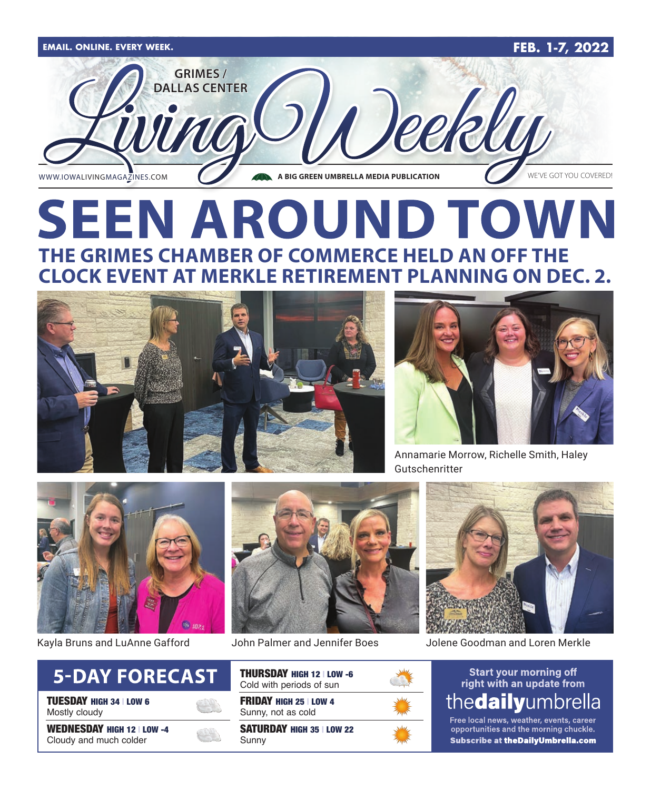

# **SEEN AROUND TOWN THE GRIMES CHAMBER OF COMMERCE HELD AN OFF THE CLOCK EVENT AT MERKLE RETIREMENT PLANNING ON DEC. 2.**





Annamarie Morrow, Richelle Smith, Haley Gutschenritter



Kayla Bruns and LuAnne Gafford



TUESDAY HIGH 34 | LOW 6 Mostly cloudy

WEDNESDAY HIGH 12 | LOW -4 Cloudy and much colder





FRIDAY HIGH 25 | LOW 4 Sunny, not as cold

SATURDAY HIGH 35 | LOW 22 Sunny



John Palmer and Jennifer Boes Jolene Goodman and Loren Merkle

#### **Start your morning off** right with an update from thedailyumbrella

Free local news, weather, events, career opportunities and the morning chuckle. Subscribe at theDailyUmbrella.com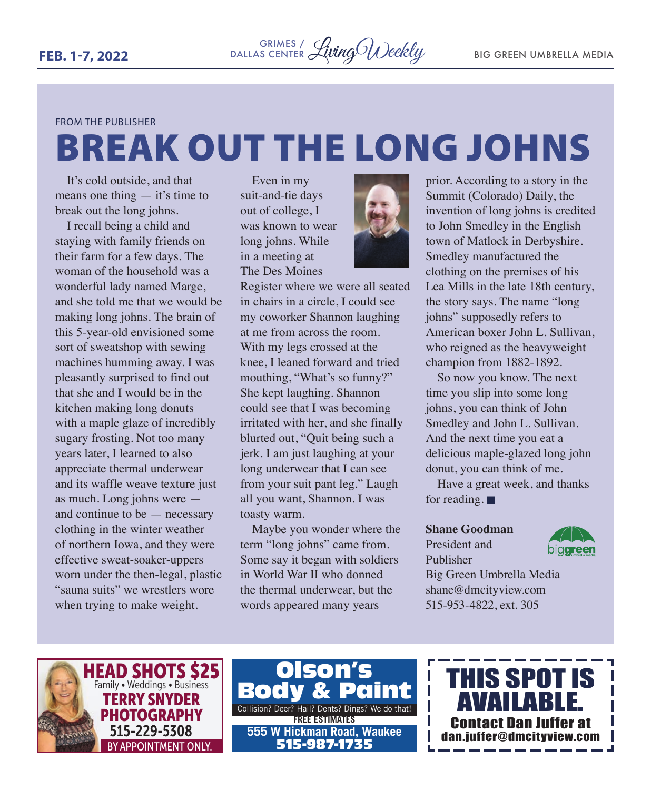#### FROM THE PUBLISHER

# BREAK OUT THE LONG JOHNS

It's cold outside, and that means one thing  $-$  it's time to break out the long johns.

I recall being a child and staying with family friends on their farm for a few days. The woman of the household was a wonderful lady named Marge, and she told me that we would be making long johns. The brain of this 5-year-old envisioned some sort of sweatshop with sewing machines humming away. I was pleasantly surprised to find out that she and I would be in the kitchen making long donuts with a maple glaze of incredibly sugary frosting. Not too many years later, I learned to also appreciate thermal underwear and its waffle weave texture just as much. Long johns were and continue to be — necessary clothing in the winter weather of northern Iowa, and they were effective sweat-soaker-uppers worn under the then-legal, plastic "sauna suits" we wrestlers wore when trying to make weight.

Even in my suit-and-tie days out of college, I was known to wear long johns. While in a meeting at The Des Moines



Register where we were all seated in chairs in a circle, I could see my coworker Shannon laughing at me from across the room. With my legs crossed at the knee, I leaned forward and tried mouthing, "What's so funny?" She kept laughing. Shannon could see that I was becoming irritated with her, and she finally blurted out, "Quit being such a jerk. I am just laughing at your long underwear that I can see from your suit pant leg." Laugh all you want, Shannon. I was toasty warm.

Maybe you wonder where the term "long johns" came from. Some say it began with soldiers in World War II who donned the thermal underwear, but the words appeared many years

prior. According to a story in the Summit (Colorado) Daily, the invention of long johns is credited to John Smedley in the English town of Matlock in Derbyshire. Smedley manufactured the clothing on the premises of his Lea Mills in the late 18th century, the story says. The name "long johns" supposedly refers to American boxer John L. Sullivan, who reigned as the heavyweight champion from 1882-1892.

So now you know. The next time you slip into some long johns, you can think of John Smedley and John L. Sullivan. And the next time you eat a delicious maple-glazed long john donut, you can think of me.

Have a great week, and thanks for reading.  $\blacksquare$ 

#### **Shane Goodman**

#### President and Publisher



Big Green Umbrella Media shane@dmcityview.com 515-953-4822, ext. 305



Collision? Deer? Hail? Dents? Dings? We do that! **FREE ESTIMATES** Olson's **Body 555 W Hickman Road, Waukee** 515-987-1735

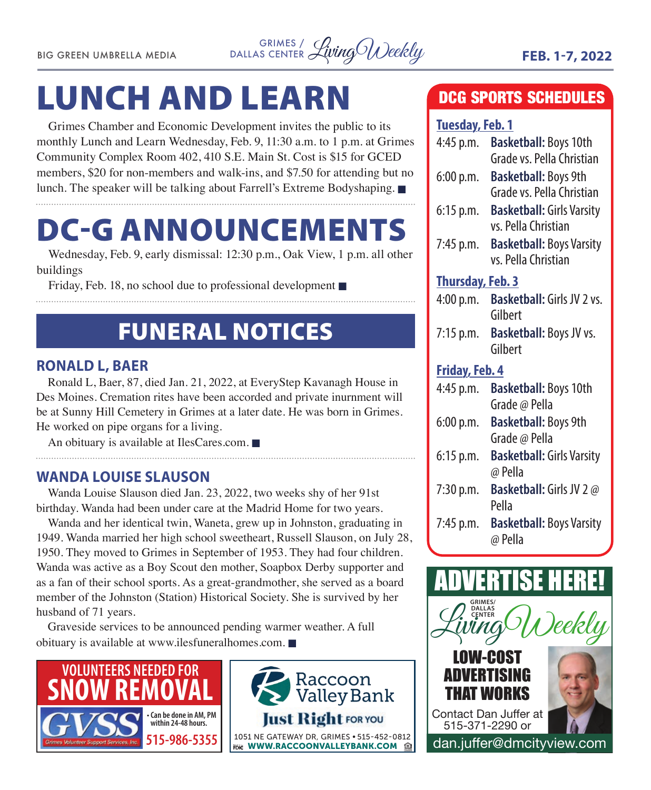

# LUNCH AND LEARN

Grimes Chamber and Economic Development invites the public to its monthly Lunch and Learn Wednesday, Feb. 9, 11:30 a.m. to 1 p.m. at Grimes Community Complex Room 402, 410 S.E. Main St. Cost is \$15 for GCED members, \$20 for non-members and walk-ins, and \$7.50 for attending but no lunch. The speaker will be talking about Farrell's Extreme Bodyshaping.  $\blacksquare$ 

# DC-G ANNOUNCEMENTS

Wednesday, Feb. 9, early dismissal: 12:30 p.m., Oak View, 1 p.m. all other buildings

Friday, Feb. 18, no school due to professional development  $\blacksquare$ 

# FUNERAL NOTICES

#### **RONALD L, BAER**

Ronald L, Baer, 87, died Jan. 21, 2022, at EveryStep Kavanagh House in Des Moines. Cremation rites have been accorded and private inurnment will be at Sunny Hill Cemetery in Grimes at a later date. He was born in Grimes. He worked on pipe organs for a living.

An obituary is available at IlesCares.com.  $\blacksquare$ 

#### **WANDA LOUISE SLAUSON**

Wanda Louise Slauson died Jan. 23, 2022, two weeks shy of her 91st birthday. Wanda had been under care at the Madrid Home for two years.

Wanda and her identical twin, Waneta, grew up in Johnston, graduating in 1949. Wanda married her high school sweetheart, Russell Slauson, on July 28, 1950. They moved to Grimes in September of 1953. They had four children. Wanda was active as a Boy Scout den mother, Soapbox Derby supporter and as a fan of their school sports. As a great-grandmother, she served as a board member of the Johnston (Station) Historical Society. She is survived by her husband of 71 years.

Graveside services to be announced pending warmer weather. A full obituary is available at www.ilesfuneralhomes.com.  $\blacksquare$ 





### DCG SPORTS SCHEDULES

#### **Tuesday, Feb. 1**

| <u><b>IMCDUM)</b></u> I GMI 1 |                                                           |
|-------------------------------|-----------------------------------------------------------|
| 4:45 p.m.                     | <b>Basketball: Boys 10th</b><br>Grade vs. Pella Christian |
|                               |                                                           |
| 6:00 p.m.                     | <b>Basketball: Boys 9th</b>                               |
|                               | Grade vs. Pella Christian                                 |
| 6:15 p.m.                     | <b>Basketball: Girls Varsity</b>                          |
|                               | vs. Pella Christian                                       |
|                               |                                                           |
| 7:45 p.m.                     | <b>Basketball: Boys Varsity</b>                           |
|                               | vs. Pella Christian                                       |
| <b>Thursday, Feb. 3</b>       |                                                           |
| 4:00 p.m.                     | <b>Basketball: Girls JV 2 vs.</b>                         |
|                               | Gilbert                                                   |
| 7:15 p.m.                     | Basketball: Boys JV vs.                                   |
|                               | Gilbert                                                   |
|                               |                                                           |
| <b>Friday, Feb. 4</b>         |                                                           |
| 4:45 p.m.                     | <b>Basketball: Boys 10th</b>                              |
|                               | Grade @ Pella                                             |
| 6:00 p.m.                     | <b>Basketball: Boys 9th</b>                               |
|                               | Grade @ Pella                                             |
| $6:15$ p.m.                   | <b>Basketball: Girls Varsity</b>                          |
|                               | @ Pella                                                   |
|                               |                                                           |
| 7:30 p.m.                     | Basketball: Girls JV 2 @                                  |
|                               | Pella                                                     |
| 7:45 p.m.                     | <b>Basketball: Boys Varsity</b>                           |
|                               | @ Pella                                                   |
|                               |                                                           |
|                               |                                                           |

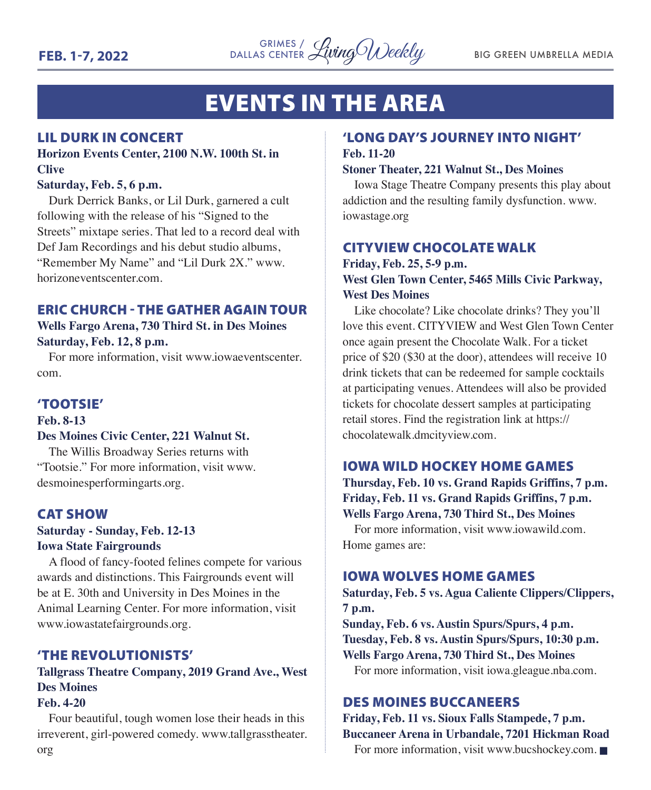

# EVENTS IN THE AREA

#### LIL DURK IN CONCERT

#### **Horizon Events Center, 2100 N.W. 100th St. in Clive**

#### **Saturday, Feb. 5, 6 p.m.**

Durk Derrick Banks, or Lil Durk, garnered a cult following with the release of his "Signed to the Streets" mixtape series. That led to a record deal with Def Jam Recordings and his debut studio albums, "Remember My Name" and "Lil Durk 2X." www. horizoneventscenter.com.

#### ERIC CHURCH - THE GATHER AGAIN TOUR

**Wells Fargo Arena, 730 Third St. in Des Moines Saturday, Feb. 12, 8 p.m.**

For more information, visit www.iowaeventscenter. com.

#### 'TOOTSIE'

#### **Feb. 8-13**

#### **Des Moines Civic Center, 221 Walnut St.**

The Willis Broadway Series returns with "Tootsie." For more information, visit www. desmoinesperformingarts.org.

#### CAT SHOW

#### **Saturday - Sunday, Feb. 12-13 Iowa State Fairgrounds**

A flood of fancy-footed felines compete for various awards and distinctions. This Fairgrounds event will be at E. 30th and University in Des Moines in the Animal Learning Center. For more information, visit www.iowastatefairgrounds.org.

#### 'THE REVOLUTIONISTS'

#### **Tallgrass Theatre Company, 2019 Grand Ave., West Des Moines**

#### **Feb. 4-20**

Four beautiful, tough women lose their heads in this irreverent, girl-powered comedy. www.tallgrasstheater. org

#### 'LONG DAY'S JOURNEY INTO NIGHT' **Feb. 11-20**

#### **Stoner Theater, 221 Walnut St., Des Moines**

Iowa Stage Theatre Company presents this play about addiction and the resulting family dysfunction. www. iowastage.org

#### CITYVIEW CHOCOLATE WALK

#### **Friday, Feb. 25, 5-9 p.m. West Glen Town Center, 5465 Mills Civic Parkway, West Des Moines**

Like chocolate? Like chocolate drinks? They you'll love this event. CITYVIEW and West Glen Town Center once again present the Chocolate Walk. For a ticket price of \$20 (\$30 at the door), attendees will receive 10 drink tickets that can be redeemed for sample cocktails at participating venues. Attendees will also be provided tickets for chocolate dessert samples at participating retail stores. Find the registration link at https:// chocolatewalk.dmcityview.com.

#### IOWA WILD HOCKEY HOME GAMES

**Thursday, Feb. 10 vs. Grand Rapids Griffins, 7 p.m. Friday, Feb. 11 vs. Grand Rapids Griffins, 7 p.m. Wells Fargo Arena, 730 Third St., Des Moines**

For more information, visit www.iowawild.com. Home games are:

#### IOWA WOLVES HOME GAMES

**Saturday, Feb. 5 vs. Agua Caliente Clippers/Clippers, 7 p.m.**

**Sunday, Feb. 6 vs. Austin Spurs/Spurs, 4 p.m. Tuesday, Feb. 8 vs. Austin Spurs/Spurs, 10:30 p.m. Wells Fargo Arena, 730 Third St., Des Moines**

For more information, visit iowa.gleague.nba.com.

#### DES MOINES BUCCANEERS

#### **Friday, Feb. 11 vs. Sioux Falls Stampede, 7 p.m. Buccaneer Arena in Urbandale, 7201 Hickman Road**

For more information, visit www.bucshockey.com.  $\blacksquare$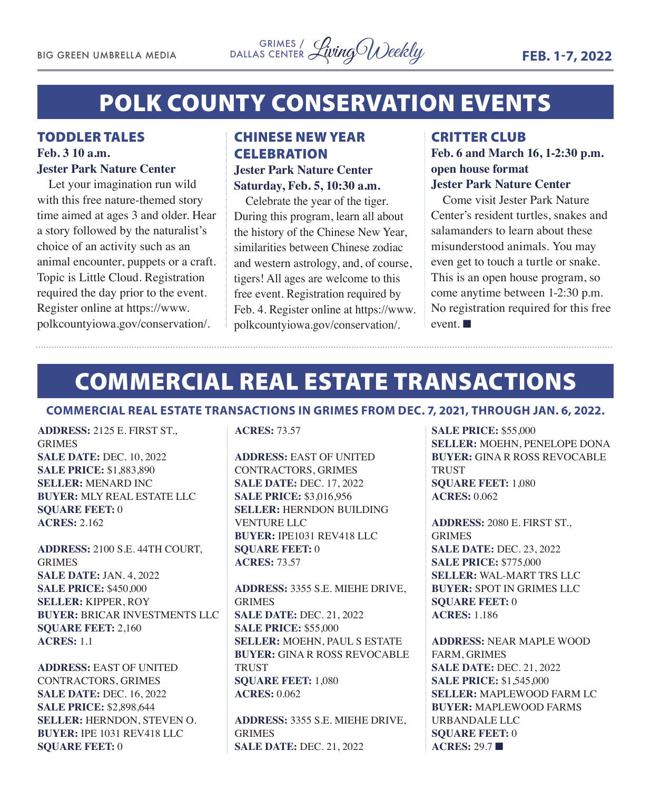# POLK COUNTY CONSERVATION EVENTS

#### TODDLER TALES **Feb. 3 10 a.m. Jester Park Nature Center**

Let your imagination run wild with this free nature-themed story time aimed at ages 3 and older. Hear a story followed by the naturalist's choice of an activity such as an animal encounter, puppets or a craft. Topic is Little Cloud. Registration required the day prior to the event. Register online at https://www. polkcountyiowa.gov/conservation/.

#### CHINESE NEW YEAR **CELEBRATION Jester Park Nature Center Saturday, Feb. 5, 10:30 a.m.**

Celebrate the year of the tiger. During this program, learn all about the history of the Chinese New Year, similarities between Chinese zodiac and western astrology, and, of course, tigers! All ages are welcome to this free event. Registration required by Feb. 4. Register online at https://www. polkcountyiowa.gov/conservation/.

#### CRITTER CLUB **Feb. 6 and March 16, 1-2:30 p.m. open house format Jester Park Nature Center**

Come visit Jester Park Nature Center's resident turtles, snakes and salamanders to learn about these misunderstood animals. You may even get to touch a turtle or snake. This is an open house program, so come anytime between 1-2:30 p.m. No registration required for this free event.  $\blacksquare$ 

# COMMERCIAL REAL ESTATE TRANSACTIONS

#### **COMMERCIAL REAL ESTATE TRANSACTIONS IN GRIMES FROM DEC. 7, 2021, THROUGH JAN. 6, 2022.**

**ADDRESS:** 2125 E. FIRST ST., GRIMES **SALE DATE:** DEC. 10, 2022 **SALE PRICE:** \$1,883,890 **SELLER:** MENARD INC **BUYER:** MLY REAL ESTATE LLC **SQUARE FEET:** 0 **ACRES:** 2.162

**ADDRESS:** 2100 S.E. 44TH COURT, GRIMES **SALE DATE:** JAN. 4, 2022 **SALE PRICE:** \$450,000 **SELLER:** KIPPER, ROY **BUYER:** BRICAR INVESTMENTS LLC **SQUARE FEET:** 2,160 **ACRES:** 1.1

**ADDRESS:** EAST OF UNITED CONTRACTORS, GRIMES **SALE DATE:** DEC. 16, 2022 **SALE PRICE:** \$2,898,644 **SELLER:** HERNDON, STEVEN O. **BUYER:** IPE 1031 REV418 LLC **SQUARE FEET:** 0

**ACRES:** 73.57

**ADDRESS:** EAST OF UNITED CONTRACTORS, GRIMES **SALE DATE:** DEC. 17, 2022 **SALE PRICE:** \$3,016,956 **SELLER:** HERNDON BUILDING VENTURE LLC **BUYER:** IPE1031 REV418 LLC **SQUARE FEET:** 0 **ACRES:** 73.57

**ADDRESS:** 3355 S.E. MIEHE DRIVE, GRIMES **SALE DATE:** DEC. 21, 2022 **SALE PRICE:** \$55,000 **SELLER:** MOEHN, PAUL S ESTATE **BUYER:** GINA R ROSS REVOCABLE **TRUST SQUARE FEET:** 1,080 **ACRES:** 0.062

**ADDRESS:** 3355 S.E. MIEHE DRIVE, GRIMES **SALE DATE:** DEC. 21, 2022

**SALE PRICE:** \$55,000 **SELLER:** MOEHN, PENELOPE DONA **BUYER:** GINA R ROSS REVOCABLE **TRUST SQUARE FEET:** 1,080 **ACRES:** 0.062

**ADDRESS:** 2080 E. FIRST ST., GRIMES **SALE DATE:** DEC. 23, 2022 **SALE PRICE:** \$775,000 **SELLER:** WAL-MART TRS LLC **BUYER:** SPOT IN GRIMES LLC **SQUARE FEET:** 0 **ACRES:** 1.186

**ADDRESS:** NEAR MAPLE WOOD FARM, GRIMES **SALE DATE:** DEC. 21, 2022 **SALE PRICE:** \$1,545,000 **SELLER:** MAPLEWOOD FARM LC **BUYER:** MAPLEWOOD FARMS URBANDALE LLC **SQUARE FEET:** 0 **ACRES: 29.7 ■**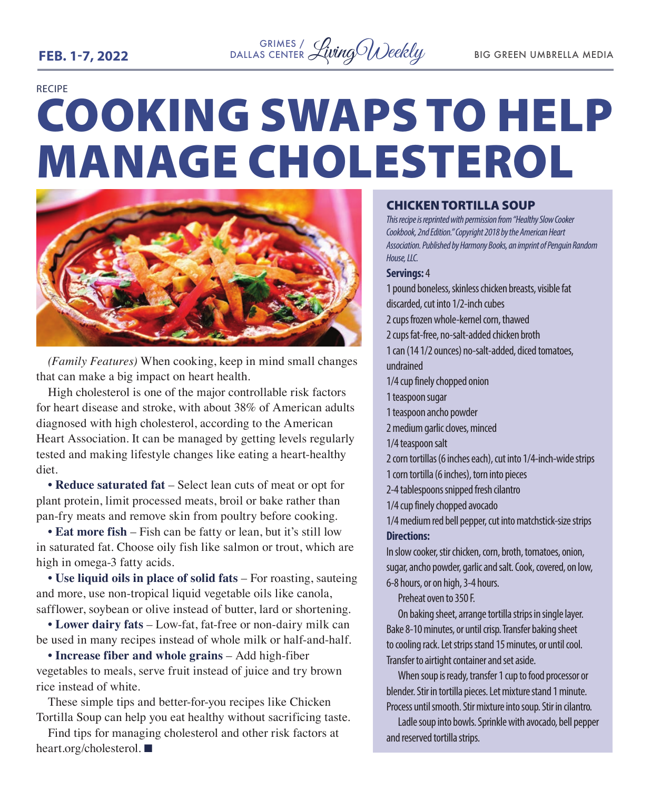#### <sup>GRIMES</sup>/ WingO Weekly BIG GREEN UMBRELLA MEDIA DALLAS CENTER

RECIPE

# COOKING SWAPS TO HELP MANAGE CHOLESTEROL



*(Family Features)* When cooking, keep in mind small changes that can make a big impact on heart health.

High cholesterol is one of the major controllable risk factors for heart disease and stroke, with about 38% of American adults diagnosed with high cholesterol, according to the American Heart Association. It can be managed by getting levels regularly tested and making lifestyle changes like eating a heart-healthy diet.

**• Reduce saturated fat** – Select lean cuts of meat or opt for plant protein, limit processed meats, broil or bake rather than pan-fry meats and remove skin from poultry before cooking.

**• Eat more fish** – Fish can be fatty or lean, but it's still low in saturated fat. Choose oily fish like salmon or trout, which are high in omega-3 fatty acids.

**• Use liquid oils in place of solid fats** – For roasting, sauteing and more, use non-tropical liquid vegetable oils like canola, safflower, soybean or olive instead of butter, lard or shortening.

**• Lower dairy fats** – Low-fat, fat-free or non-dairy milk can be used in many recipes instead of whole milk or half-and-half.

**• Increase fiber and whole grains** – Add high-fiber vegetables to meals, serve fruit instead of juice and try brown rice instead of white.

These simple tips and better-for-you recipes like Chicken Tortilla Soup can help you eat healthy without sacrificing taste.

Find tips for managing cholesterol and other risk factors at heart.org/cholesterol.

#### CHICKEN TORTILLA SOUP

*This recipe is reprinted with permission from "Healthy Slow Cooker Cookbook, 2nd Edition." Copyright 2018 by the American Heart Association. Published by Harmony Books, an imprint of Penguin Random House, LLC.* 

#### **Servings:** 4

1 pound boneless, skinless chicken breasts, visible fat discarded, cut into 1/2-inch cubes 2 cups frozen whole-kernel corn, thawed 2 cups fat-free, no-salt-added chicken broth 1 can (14 1/2 ounces) no-salt-added, diced tomatoes, undrained 1/4 cup finely chopped onion 1 teaspoon sugar 1 teaspoon ancho powder 2 medium garlic cloves, minced 1/4 teaspoon salt 2 corn tortillas (6 inches each), cut into 1/4-inch-wide strips 1 corn tortilla (6 inches), torn into pieces 2-4 tablespoons snipped fresh cilantro 1/4 cup finely chopped avocado 1/4 medium red bell pepper, cut into matchstick-size strips **Directions:** In slow cooker, stir chicken, corn, broth, tomatoes, onion, sugar, ancho powder, garlic and salt. Cook, covered, on low, 6-8 hours, or on high, 3-4 hours.

Preheat oven to 350 F.

On baking sheet, arrange tortilla strips in single layer. Bake 8-10 minutes, or until crisp. Transfer baking sheet to cooling rack. Let strips stand 15 minutes, or until cool. Transfer to airtight container and set aside.

When soup is ready, transfer 1 cup to food processor or blender. Stir in tortilla pieces. Let mixture stand 1 minute. Process until smooth. Stir mixture into soup. Stir in cilantro.

Ladle soup into bowls. Sprinkle with avocado, bell pepper and reserved tortilla strips.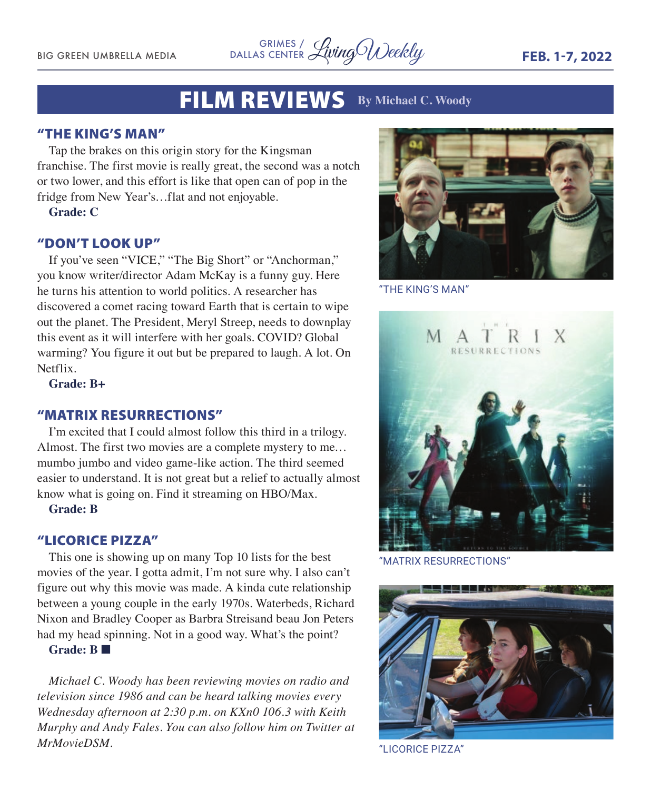<sup>GRIMES</sup>/ <sup>GRIMES</sup> / <sup>GRIMES</sup> / *LivingOU)eekly* **FEB. 1-7, 2022** DALLAS CENTER

## FILM REVIEWS **By Michael C. Woody**

#### "THE KING'S MAN"

Tap the brakes on this origin story for the Kingsman franchise. The first movie is really great, the second was a notch or two lower, and this effort is like that open can of pop in the fridge from New Year's…flat and not enjoyable.

**Grade: C**

#### "DON'T LOOK UP"

If you've seen "VICE," "The Big Short" or "Anchorman," you know writer/director Adam McKay is a funny guy. Here he turns his attention to world politics. A researcher has discovered a comet racing toward Earth that is certain to wipe out the planet. The President, Meryl Streep, needs to downplay this event as it will interfere with her goals. COVID? Global warming? You figure it out but be prepared to laugh. A lot. On Netflix.

**Grade: B+**

#### "MATRIX RESURRECTIONS"

I'm excited that I could almost follow this third in a trilogy. Almost. The first two movies are a complete mystery to me… mumbo jumbo and video game-like action. The third seemed easier to understand. It is not great but a relief to actually almost know what is going on. Find it streaming on HBO/Max.

**Grade: B**

#### "LICORICE PIZZA"

This one is showing up on many Top 10 lists for the best movies of the year. I gotta admit, I'm not sure why. I also can't figure out why this movie was made. A kinda cute relationship between a young couple in the early 1970s. Waterbeds, Richard Nixon and Bradley Cooper as Barbra Streisand beau Jon Peters had my head spinning. Not in a good way. What's the point?

**Grade: B** n

*Michael C. Woody has been reviewing movies on radio and television since 1986 and can be heard talking movies every Wednesday afternoon at 2:30 p.m. on KXn0 106.3 with Keith Murphy and Andy Fales. You can also follow him on Twitter at MrMovieDSM.* 



"THE KING'S MAN"



"MATRIX RESURRECTIONS"



"LICORICE PIZZA"